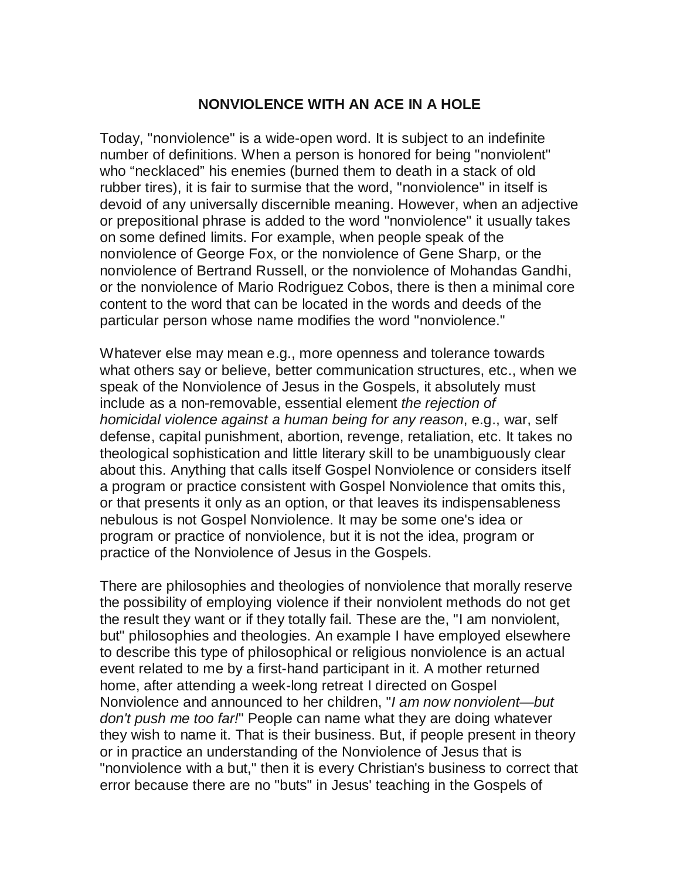## **NONVIOLENCE WITH AN ACE IN A HOLE**

Today, "nonviolence" is a wide-open word. It is subject to an indefinite number of definitions. When a person is honored for being "nonviolent" who "necklaced" his enemies (burned them to death in a stack of old rubber tires), it is fair to surmise that the word, "nonviolence" in itself is devoid of any universally discernible meaning. However, when an adjective or prepositional phrase is added to the word "nonviolence" it usually takes on some defined limits. For example, when people speak of the nonviolence of George Fox, or the nonviolence of Gene Sharp, or the nonviolence of Bertrand Russell, or the nonviolence of Mohandas Gandhi, or the nonviolence of Mario Rodriguez Cobos, there is then a minimal core content to the word that can be located in the words and deeds of the particular person whose name modifies the word "nonviolence."

Whatever else may mean e.g., more openness and tolerance towards what others say or believe, better communication structures, etc., when we speak of the Nonviolence of Jesus in the Gospels, it absolutely must include as a non-removable, essential element *the rejection of homicidal violence against a human being for any reason*, e.g., war, self defense, capital punishment, abortion, revenge, retaliation, etc. It takes no theological sophistication and little literary skill to be unambiguously clear about this. Anything that calls itself Gospel Nonviolence or considers itself a program or practice consistent with Gospel Nonviolence that omits this, or that presents it only as an option, or that leaves its indispensableness nebulous is not Gospel Nonviolence. It may be some one's idea or program or practice of nonviolence, but it is not the idea, program or practice of the Nonviolence of Jesus in the Gospels.

There are philosophies and theologies of nonviolence that morally reserve the possibility of employing violence if their nonviolent methods do not get the result they want or if they totally fail. These are the, "I am nonviolent, but" philosophies and theologies. An example I have employed elsewhere to describe this type of philosophical or religious nonviolence is an actual event related to me by a first-hand participant in it. A mother returned home, after attending a week-long retreat I directed on Gospel Nonviolence and announced to her children, "*I am now nonviolent—but don't push me too far!*" People can name what they are doing whatever they wish to name it. That is their business. But, if people present in theory or in practice an understanding of the Nonviolence of Jesus that is "nonviolence with a but," then it is every Christian's business to correct that error because there are no "buts" in Jesus' teaching in the Gospels of